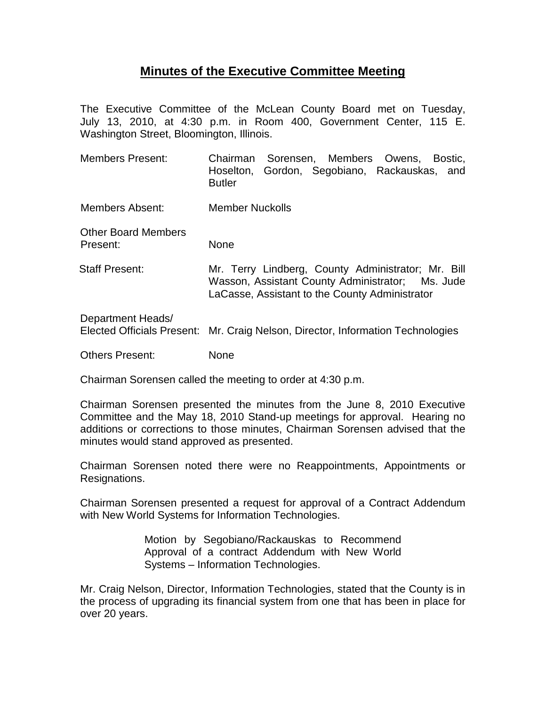## **Minutes of the Executive Committee Meeting**

The Executive Committee of the McLean County Board met on Tuesday, July 13, 2010, at 4:30 p.m. in Room 400, Government Center, 115 E. Washington Street, Bloomington, Illinois.

Members Present: Chairman Sorensen, Members Owens, Bostic, Hoselton, Gordon, Segobiano, Rackauskas, and Butler

Members Absent: Member Nuckolls

Other Board Members Present: None

Staff Present: Mr. Terry Lindberg, County Administrator; Mr. Bill Wasson, Assistant County Administrator; Ms. Jude LaCasse, Assistant to the County Administrator

Department Heads/ Elected Officials Present: Mr. Craig Nelson, Director, Information Technologies

Others Present: None

Chairman Sorensen called the meeting to order at 4:30 p.m.

Chairman Sorensen presented the minutes from the June 8, 2010 Executive Committee and the May 18, 2010 Stand-up meetings for approval. Hearing no additions or corrections to those minutes, Chairman Sorensen advised that the minutes would stand approved as presented.

Chairman Sorensen noted there were no Reappointments, Appointments or Resignations.

Chairman Sorensen presented a request for approval of a Contract Addendum with New World Systems for Information Technologies.

> Motion by Segobiano/Rackauskas to Recommend Approval of a contract Addendum with New World Systems – Information Technologies.

Mr. Craig Nelson, Director, Information Technologies, stated that the County is in the process of upgrading its financial system from one that has been in place for over 20 years.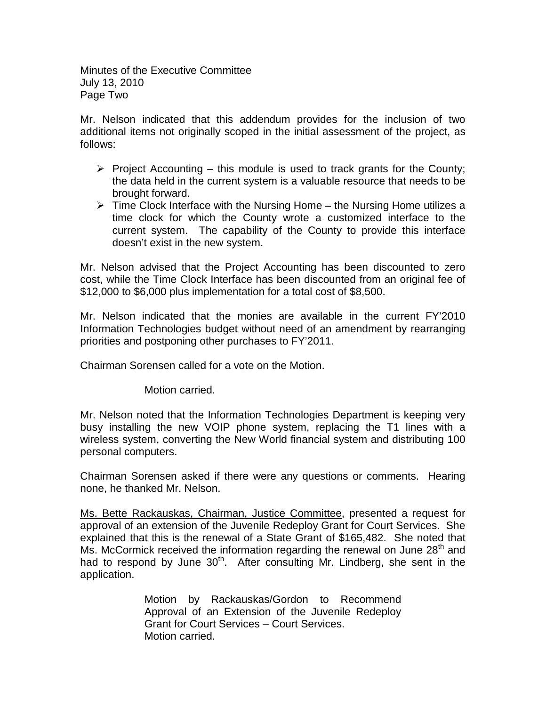Minutes of the Executive Committee July 13, 2010 Page Two

Mr. Nelson indicated that this addendum provides for the inclusion of two additional items not originally scoped in the initial assessment of the project, as follows:

- $\triangleright$  Project Accounting this module is used to track grants for the County; the data held in the current system is a valuable resource that needs to be brought forward.
- $\triangleright$  Time Clock Interface with the Nursing Home the Nursing Home utilizes a time clock for which the County wrote a customized interface to the current system. The capability of the County to provide this interface doesn't exist in the new system.

Mr. Nelson advised that the Project Accounting has been discounted to zero cost, while the Time Clock Interface has been discounted from an original fee of \$12,000 to \$6,000 plus implementation for a total cost of \$8,500.

Mr. Nelson indicated that the monies are available in the current FY'2010 Information Technologies budget without need of an amendment by rearranging priorities and postponing other purchases to FY'2011.

Chairman Sorensen called for a vote on the Motion.

Motion carried.

Mr. Nelson noted that the Information Technologies Department is keeping very busy installing the new VOIP phone system, replacing the T1 lines with a wireless system, converting the New World financial system and distributing 100 personal computers.

Chairman Sorensen asked if there were any questions or comments. Hearing none, he thanked Mr. Nelson.

Ms. Bette Rackauskas, Chairman, Justice Committee, presented a request for approval of an extension of the Juvenile Redeploy Grant for Court Services. She explained that this is the renewal of a State Grant of \$165,482. She noted that Ms. McCormick received the information regarding the renewal on June  $28<sup>th</sup>$  and had to respond by June 30<sup>th</sup>. After consulting Mr. Lindberg, she sent in the application.

> Motion by Rackauskas/Gordon to Recommend Approval of an Extension of the Juvenile Redeploy Grant for Court Services – Court Services. Motion carried.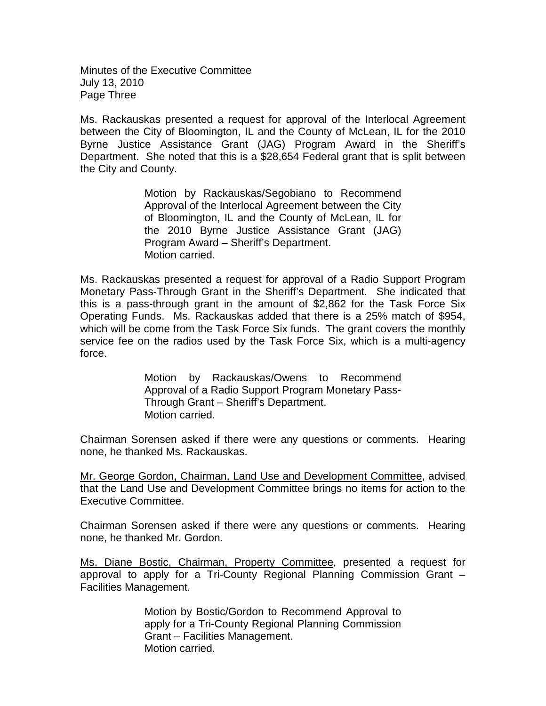Minutes of the Executive Committee July 13, 2010 Page Three

Ms. Rackauskas presented a request for approval of the Interlocal Agreement between the City of Bloomington, IL and the County of McLean, IL for the 2010 Byrne Justice Assistance Grant (JAG) Program Award in the Sheriff's Department. She noted that this is a \$28,654 Federal grant that is split between the City and County.

> Motion by Rackauskas/Segobiano to Recommend Approval of the Interlocal Agreement between the City of Bloomington, IL and the County of McLean, IL for the 2010 Byrne Justice Assistance Grant (JAG) Program Award – Sheriff's Department. Motion carried.

Ms. Rackauskas presented a request for approval of a Radio Support Program Monetary Pass-Through Grant in the Sheriff's Department. She indicated that this is a pass-through grant in the amount of \$2,862 for the Task Force Six Operating Funds. Ms. Rackauskas added that there is a 25% match of \$954, which will be come from the Task Force Six funds. The grant covers the monthly service fee on the radios used by the Task Force Six, which is a multi-agency force.

> Motion by Rackauskas/Owens to Recommend Approval of a Radio Support Program Monetary Pass-Through Grant – Sheriff's Department. Motion carried.

Chairman Sorensen asked if there were any questions or comments. Hearing none, he thanked Ms. Rackauskas.

Mr. George Gordon, Chairman, Land Use and Development Committee, advised that the Land Use and Development Committee brings no items for action to the Executive Committee.

Chairman Sorensen asked if there were any questions or comments. Hearing none, he thanked Mr. Gordon.

Ms. Diane Bostic, Chairman, Property Committee, presented a request for approval to apply for a Tri-County Regional Planning Commission Grant – Facilities Management.

> Motion by Bostic/Gordon to Recommend Approval to apply for a Tri-County Regional Planning Commission Grant – Facilities Management. Motion carried.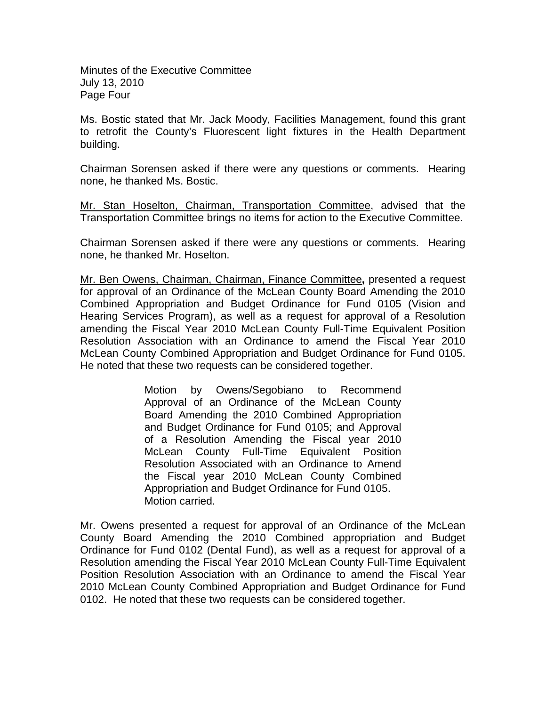Minutes of the Executive Committee July 13, 2010 Page Four

Ms. Bostic stated that Mr. Jack Moody, Facilities Management, found this grant to retrofit the County's Fluorescent light fixtures in the Health Department building.

Chairman Sorensen asked if there were any questions or comments. Hearing none, he thanked Ms. Bostic.

Mr. Stan Hoselton, Chairman, Transportation Committee, advised that the Transportation Committee brings no items for action to the Executive Committee.

Chairman Sorensen asked if there were any questions or comments. Hearing none, he thanked Mr. Hoselton.

Mr. Ben Owens, Chairman, Chairman, Finance Committee**,** presented a request for approval of an Ordinance of the McLean County Board Amending the 2010 Combined Appropriation and Budget Ordinance for Fund 0105 (Vision and Hearing Services Program), as well as a request for approval of a Resolution amending the Fiscal Year 2010 McLean County Full-Time Equivalent Position Resolution Association with an Ordinance to amend the Fiscal Year 2010 McLean County Combined Appropriation and Budget Ordinance for Fund 0105. He noted that these two requests can be considered together.

> Motion by Owens/Segobiano to Recommend Approval of an Ordinance of the McLean County Board Amending the 2010 Combined Appropriation and Budget Ordinance for Fund 0105; and Approval of a Resolution Amending the Fiscal year 2010 McLean County Full-Time Equivalent Position Resolution Associated with an Ordinance to Amend the Fiscal year 2010 McLean County Combined Appropriation and Budget Ordinance for Fund 0105. Motion carried.

Mr. Owens presented a request for approval of an Ordinance of the McLean County Board Amending the 2010 Combined appropriation and Budget Ordinance for Fund 0102 (Dental Fund), as well as a request for approval of a Resolution amending the Fiscal Year 2010 McLean County Full-Time Equivalent Position Resolution Association with an Ordinance to amend the Fiscal Year 2010 McLean County Combined Appropriation and Budget Ordinance for Fund 0102. He noted that these two requests can be considered together.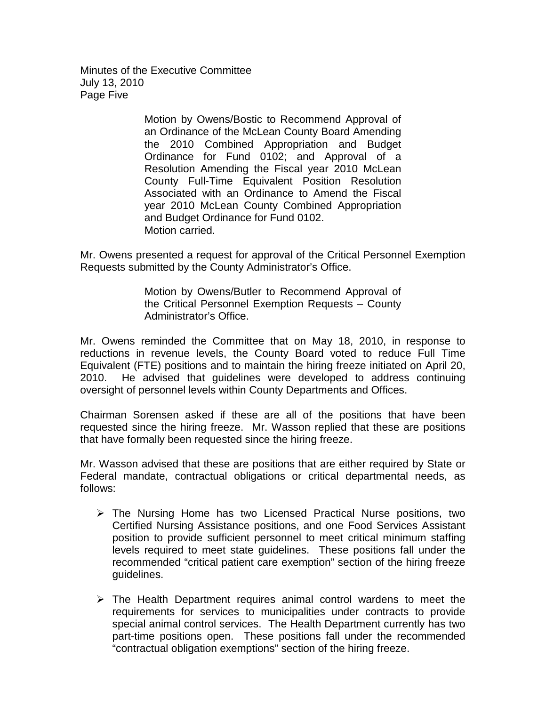Minutes of the Executive Committee July 13, 2010 Page Five

> Motion by Owens/Bostic to Recommend Approval of an Ordinance of the McLean County Board Amending the 2010 Combined Appropriation and Budget Ordinance for Fund 0102; and Approval of a Resolution Amending the Fiscal year 2010 McLean County Full-Time Equivalent Position Resolution Associated with an Ordinance to Amend the Fiscal year 2010 McLean County Combined Appropriation and Budget Ordinance for Fund 0102. Motion carried.

Mr. Owens presented a request for approval of the Critical Personnel Exemption Requests submitted by the County Administrator's Office.

> Motion by Owens/Butler to Recommend Approval of the Critical Personnel Exemption Requests – County Administrator's Office.

Mr. Owens reminded the Committee that on May 18, 2010, in response to reductions in revenue levels, the County Board voted to reduce Full Time Equivalent (FTE) positions and to maintain the hiring freeze initiated on April 20, 2010. He advised that guidelines were developed to address continuing oversight of personnel levels within County Departments and Offices.

Chairman Sorensen asked if these are all of the positions that have been requested since the hiring freeze. Mr. Wasson replied that these are positions that have formally been requested since the hiring freeze.

Mr. Wasson advised that these are positions that are either required by State or Federal mandate, contractual obligations or critical departmental needs, as follows:

- $\triangleright$  The Nursing Home has two Licensed Practical Nurse positions, two Certified Nursing Assistance positions, and one Food Services Assistant position to provide sufficient personnel to meet critical minimum staffing levels required to meet state guidelines. These positions fall under the recommended "critical patient care exemption" section of the hiring freeze guidelines.
- $\triangleright$  The Health Department requires animal control wardens to meet the requirements for services to municipalities under contracts to provide special animal control services. The Health Department currently has two part-time positions open. These positions fall under the recommended "contractual obligation exemptions" section of the hiring freeze.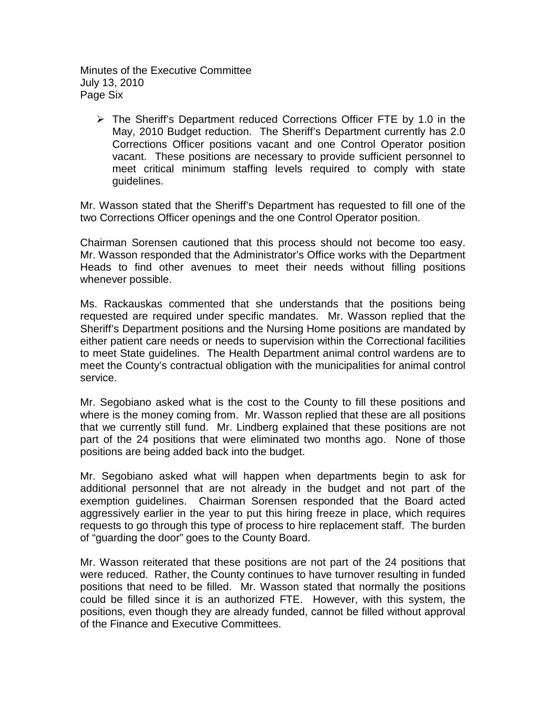Minutes of the Executive Committee July 13, 2010 Page Six

 The Sheriff's Department reduced Corrections Officer FTE by 1.0 in the May, 2010 Budget reduction. The Sheriff's Department currently has 2.0 Corrections Officer positions vacant and one Control Operator position vacant. These positions are necessary to provide sufficient personnel to meet critical minimum staffing levels required to comply with state guidelines.

Mr. Wasson stated that the Sheriff's Department has requested to fill one of the two Corrections Officer openings and the one Control Operator position.

Chairman Sorensen cautioned that this process should not become too easy. Mr. Wasson responded that the Administrator's Office works with the Department Heads to find other avenues to meet their needs without filling positions whenever possible.

Ms. Rackauskas commented that she understands that the positions being requested are required under specific mandates. Mr. Wasson replied that the Sheriff's Department positions and the Nursing Home positions are mandated by either patient care needs or needs to supervision within the Correctional facilities to meet State guidelines. The Health Department animal control wardens are to meet the County's contractual obligation with the municipalities for animal control service.

Mr. Segobiano asked what is the cost to the County to fill these positions and where is the money coming from. Mr. Wasson replied that these are all positions that we currently still fund. Mr. Lindberg explained that these positions are not part of the 24 positions that were eliminated two months ago. None of those positions are being added back into the budget.

Mr. Segobiano asked what will happen when departments begin to ask for additional personnel that are not already in the budget and not part of the exemption guidelines. Chairman Sorensen responded that the Board acted aggressively earlier in the year to put this hiring freeze in place, which requires requests to go through this type of process to hire replacement staff. The burden of "guarding the door" goes to the County Board.

Mr. Wasson reiterated that these positions are not part of the 24 positions that were reduced. Rather, the County continues to have turnover resulting in funded positions that need to be filled. Mr. Wasson stated that normally the positions could be filled since it is an authorized FTE. However, with this system, the positions, even though they are already funded, cannot be filled without approval of the Finance and Executive Committees.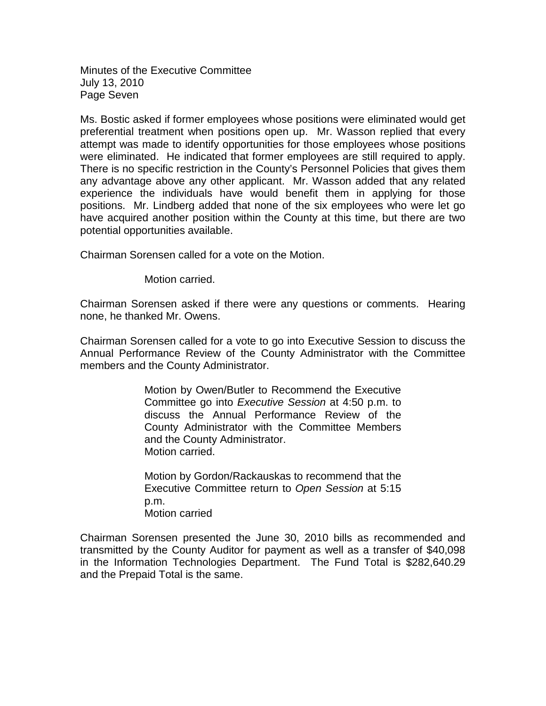Minutes of the Executive Committee July 13, 2010 Page Seven

Ms. Bostic asked if former employees whose positions were eliminated would get preferential treatment when positions open up. Mr. Wasson replied that every attempt was made to identify opportunities for those employees whose positions were eliminated. He indicated that former employees are still required to apply. There is no specific restriction in the County's Personnel Policies that gives them any advantage above any other applicant. Mr. Wasson added that any related experience the individuals have would benefit them in applying for those positions. Mr. Lindberg added that none of the six employees who were let go have acquired another position within the County at this time, but there are two potential opportunities available.

Chairman Sorensen called for a vote on the Motion.

Motion carried.

Chairman Sorensen asked if there were any questions or comments. Hearing none, he thanked Mr. Owens.

Chairman Sorensen called for a vote to go into Executive Session to discuss the Annual Performance Review of the County Administrator with the Committee members and the County Administrator.

> Motion by Owen/Butler to Recommend the Executive Committee go into *Executive Session* at 4:50 p.m. to discuss the Annual Performance Review of the County Administrator with the Committee Members and the County Administrator. Motion carried.

> Motion by Gordon/Rackauskas to recommend that the Executive Committee return to *Open Session* at 5:15 p.m. Motion carried

Chairman Sorensen presented the June 30, 2010 bills as recommended and transmitted by the County Auditor for payment as well as a transfer of \$40,098 in the Information Technologies Department. The Fund Total is \$282,640.29 and the Prepaid Total is the same.